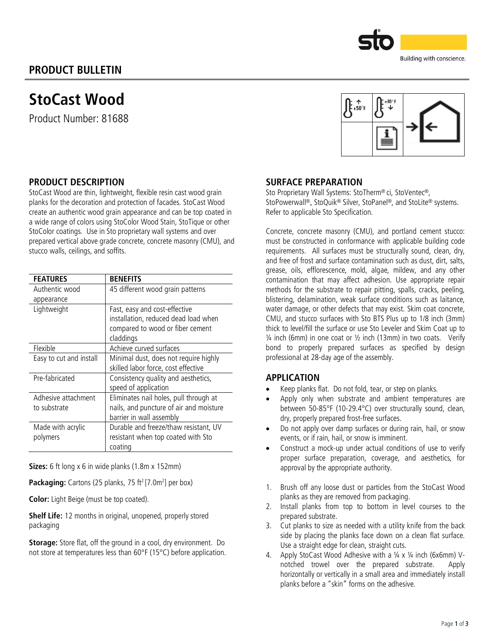# PRODUCT BULLETIN



Product Number: 81688





## PRODUCT DESCRIPTION

StoCast Wood are thin, lightweight, flexible resin cast wood grain planks for the decoration and protection of facades. StoCast Wood create an authentic wood grain appearance and can be top coated in a wide range of colors using StoColor Wood Stain, StoTique or other StoColor coatings. Use in Sto proprietary wall systems and over prepared vertical above grade concrete, concrete masonry (CMU), and stucco walls, ceilings, and soffits.

| <b>FEATURES</b>                     | <b>BENEFITS</b>                                                                                                        |  |  |
|-------------------------------------|------------------------------------------------------------------------------------------------------------------------|--|--|
| Authentic wood                      | 45 different wood grain patterns                                                                                       |  |  |
| appearance                          |                                                                                                                        |  |  |
| Lightweight                         | Fast, easy and cost-effective<br>installation, reduced dead load when<br>compared to wood or fiber cement<br>claddings |  |  |
| Flexible                            | Achieve curved surfaces                                                                                                |  |  |
| Easy to cut and install             | Minimal dust, does not require highly<br>skilled labor force, cost effective                                           |  |  |
| Pre-fabricated                      | Consistency quality and aesthetics,<br>speed of application                                                            |  |  |
| Adhesive attachment<br>to substrate | Eliminates nail holes, pull through at<br>nails, and puncture of air and moisture<br>barrier in wall assembly          |  |  |
| Made with acrylic<br>polymers       | Durable and freeze/thaw resistant, UV<br>resistant when top coated with Sto<br>coating                                 |  |  |

Sizes: 6 ft long x 6 in wide planks (1.8m x 152mm)

**Packaging:** Cartons (25 planks, 75 ft<sup>2</sup> [7.0m<sup>2</sup>] per box)

Color: Light Beige (must be top coated).

Shelf Life: 12 months in original, unopened, properly stored packaging

Storage: Store flat, off the ground in a cool, dry environment. Do not store at temperatures less than 60°F (15°C) before application.

## SURFACE PREPARATION

Sto Proprietary Wall Systems: StoTherm® ci, StoVentec®, StoPowerwall®, StoQuik® Silver, StoPanel®, and StoLite® systems. Refer to applicable Sto Specification.

Concrete, concrete masonry (CMU), and portland cement stucco: must be constructed in conformance with applicable building code requirements. All surfaces must be structurally sound, clean, dry, and free of frost and surface contamination such as dust, dirt, salts, grease, oils, efflorescence, mold, algae, mildew, and any other contamination that may affect adhesion. Use appropriate repair methods for the substrate to repair pitting, spalls, cracks, peeling, blistering, delamination, weak surface conditions such as laitance, water damage, or other defects that may exist. Skim coat concrete, CMU, and stucco surfaces with Sto BTS Plus up to 1/8 inch (3mm) thick to level/fill the surface or use Sto Leveler and Skim Coat up to  $\frac{1}{4}$  inch (6mm) in one coat or  $\frac{1}{2}$  inch (13mm) in two coats. Verify bond to properly prepared surfaces as specified by design professional at 28-day age of the assembly.

## APPLICATION

- Keep planks flat. Do not fold, tear, or step on planks.
- Apply only when substrate and ambient temperatures are between 50-85°F (10-29.4°C) over structurally sound, clean, dry, properly prepared frost-free surfaces.
- Do not apply over damp surfaces or during rain, hail, or snow events, or if rain, hail, or snow is imminent.
- Construct a mock-up under actual conditions of use to verify proper surface preparation, coverage, and aesthetics, for approval by the appropriate authority.
- 1. Brush off any loose dust or particles from the StoCast Wood planks as they are removed from packaging.
- 2. Install planks from top to bottom in level courses to the prepared substrate.
- 3. Cut planks to size as needed with a utility knife from the back side by placing the planks face down on a clean flat surface. Use a straight edge for clean, straight cuts.
- 4. Apply StoCast Wood Adhesive with a 1/4 x 1/4 inch (6x6mm) Vnotched trowel over the prepared substrate. Apply horizontally or vertically in a small area and immediately install planks before a "skin" forms on the adhesive.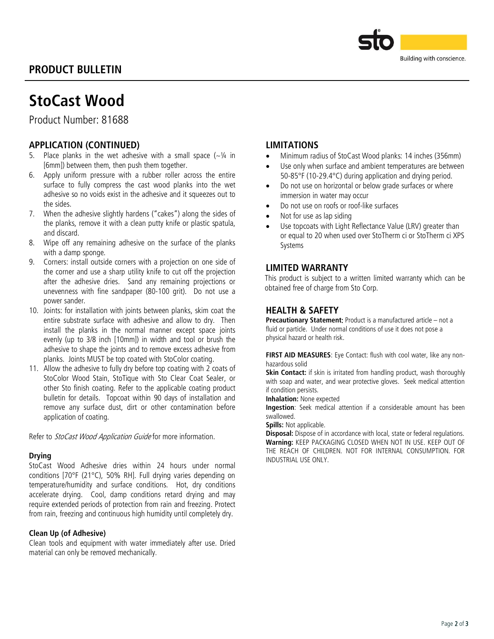# PRODUCT BULLETIN



# StoCast Wood

Product Number: 81688

# APPLICATION (CONTINUED)

- 5. Place planks in the wet adhesive with a small space  $(-\frac{1}{4})$  in [6mm]) between them, then push them together.
- 6. Apply uniform pressure with a rubber roller across the entire surface to fully compress the cast wood planks into the wet adhesive so no voids exist in the adhesive and it squeezes out to the sides.
- 7. When the adhesive slightly hardens ("cakes") along the sides of the planks, remove it with a clean putty knife or plastic spatula, and discard.
- 8. Wipe off any remaining adhesive on the surface of the planks with a damp sponge.
- 9. Corners: install outside corners with a projection on one side of the corner and use a sharp utility knife to cut off the projection after the adhesive dries. Sand any remaining projections or unevenness with fine sandpaper (80-100 grit). Do not use a power sander.
- 10. Joints: for installation with joints between planks, skim coat the entire substrate surface with adhesive and allow to dry. Then install the planks in the normal manner except space joints evenly (up to 3/8 inch [10mm]) in width and tool or brush the adhesive to shape the joints and to remove excess adhesive from planks. Joints MUST be top coated with StoColor coating.
- 11. Allow the adhesive to fully dry before top coating with 2 coats of StoColor Wood Stain, StoTique with Sto Clear Coat Sealer, or other Sto finish coating. Refer to the applicable coating product bulletin for details. Topcoat within 90 days of installation and remove any surface dust, dirt or other contamination before application of coating.

Refer to StoCast Wood Application Guide for more information.

#### **Drving**

StoCast Wood Adhesive dries within 24 hours under normal conditions [70°F (21°C), 50% RH]. Full drying varies depending on temperature/humidity and surface conditions. Hot, dry conditions accelerate drying. Cool, damp conditions retard drying and may require extended periods of protection from rain and freezing. Protect from rain, freezing and continuous high humidity until completely dry.

#### Clean Up (of Adhesive)

Clean tools and equipment with water immediately after use. Dried material can only be removed mechanically.

## LIMITATIONS

- Minimum radius of StoCast Wood planks: 14 inches (356mm)
- Use only when surface and ambient temperatures are between 50-85°F (10-29.4°C) during application and drying period.
- Do not use on horizontal or below grade surfaces or where immersion in water may occur
- Do not use on roofs or roof-like surfaces
- Not for use as lap siding
- Use topcoats with Light Reflectance Value (LRV) greater than or equal to 20 when used over StoTherm ci or StoTherm ci XPS Systems

# LIMITED WARRANTY

This product is subject to a written limited warranty which can be obtained free of charge from Sto Corp.

## HEALTH & SAFETY

Precautionary Statement: Product is a manufactured article – not a fluid or particle. Under normal conditions of use it does not pose a physical hazard or health risk.

FIRST AID MEASURES: Eye Contact: flush with cool water, like any nonhazardous solid

Skin Contact: if skin is irritated from handling product, wash thoroughly with soap and water, and wear protective gloves. Seek medical attention if condition persists.

Inhalation: None expected

Ingestion: Seek medical attention if a considerable amount has been swallowed.

Spills: Not applicable.

Disposal: Dispose of in accordance with local, state or federal regulations. Warning: KEEP PACKAGING CLOSED WHEN NOT IN USE. KEEP OUT OF THE REACH OF CHILDREN. NOT FOR INTERNAL CONSUMPTION. FOR INDUSTRIAL USE ONLY.